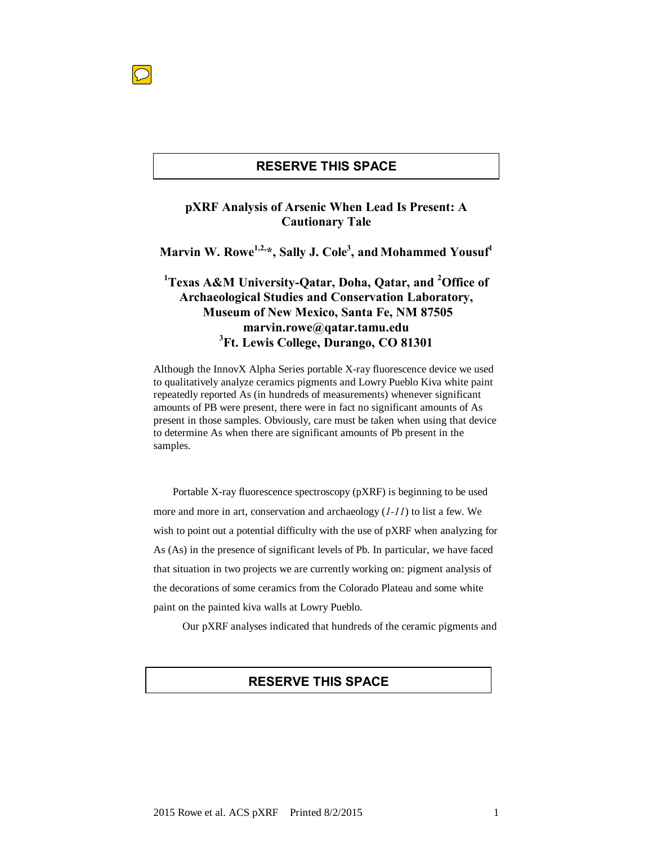# **RESERVE THIS SPACE**

# **pXRF Analysis of Arsenic When Lead Is Present: A Cautionary Tale**

**Marvin W. Rowe1,2,\*, Sally J. Cole3 , and Mohammed Yousuf1**

# **1 Texas A&M University-Qatar, Doha, Qatar, and <sup>2</sup> Office of Archaeological Studies and Conservation Laboratory, Museum of New Mexico, Santa Fe, NM 87505 marvin.rowe@qatar.tamu.edu 3 Ft. Lewis College, Durango, CO 81301**

Although the InnovX Alpha Series portable X-ray fluorescence device we used to qualitatively analyze ceramics pigments and Lowry Pueblo Kiva white paint repeatedly reported As (in hundreds of measurements) whenever significant amounts of PB were present, there were in fact no significant amounts of As present in those samples. Obviously, care must be taken when using that device to determine As when there are significant amounts of Pb present in the samples.

Portable X-ray fluorescence spectroscopy (pXRF) is beginning to be used more and more in art, conservation and archaeology (*1-11*) to list a few. We wish to point out a potential difficulty with the use of pXRF when analyzing for As (As) in the presence of significant levels of Pb. In particular, we have faced that situation in two projects we are currently working on: pigment analysis of the decorations of some ceramics from the Colorado Plateau and some white paint on the painted kiva walls at Lowry Pueblo.

Our pXRF analyses indicated that hundreds of the ceramic pigments and

# **RESERVE THIS SPACE**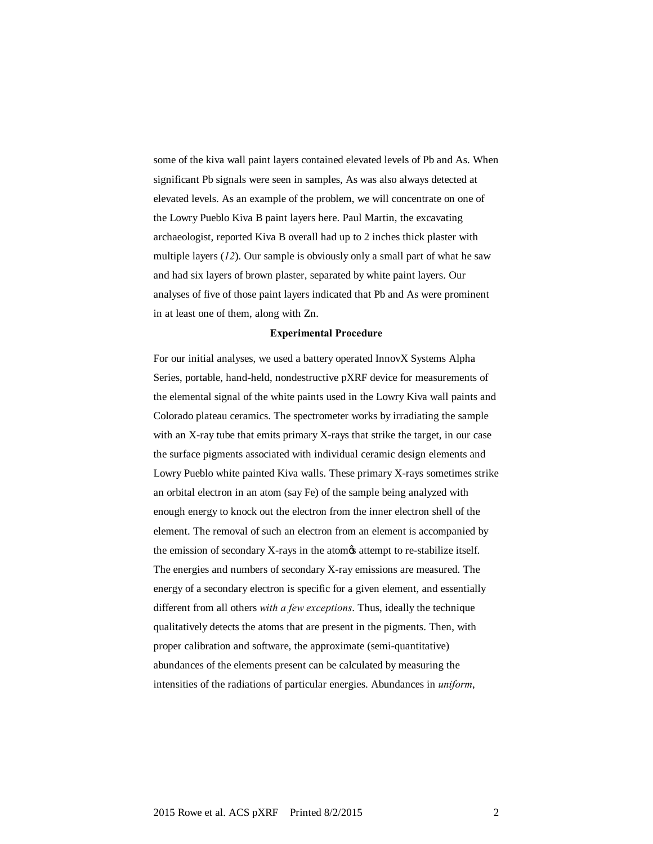some of the kiva wall paint layers contained elevated levels of Pb and As. When significant Pb signals were seen in samples, As was also always detected at elevated levels. As an example of the problem, we will concentrate on one of the Lowry Pueblo Kiva B paint layers here. Paul Martin, the excavating archaeologist, reported Kiva B overall had up to 2 inches thick plaster with multiple layers (*12*). Our sample is obviously only a small part of what he saw and had six layers of brown plaster, separated by white paint layers. Our analyses of five of those paint layers indicated that Pb and As were prominent in at least one of them, along with Zn.

#### **Experimental Procedure**

For our initial analyses, we used a battery operated InnovX Systems Alpha Series, portable, hand-held, nondestructive pXRF device for measurements of the elemental signal of the white paints used in the Lowry Kiva wall paints and Colorado plateau ceramics. The spectrometer works by irradiating the sample with an X-ray tube that emits primary X-rays that strike the target, in our case the surface pigments associated with individual ceramic design elements and Lowry Pueblo white painted Kiva walls. These primary X-rays sometimes strike an orbital electron in an atom (say Fe) of the sample being analyzed with enough energy to knock out the electron from the inner electron shell of the element. The removal of such an electron from an element is accompanied by the emission of secondary X-rays in the atomgs attempt to re-stabilize itself. The energies and numbers of secondary X-ray emissions are measured. The energy of a secondary electron is specific for a given element, and essentially different from all others *with a few exceptions*. Thus, ideally the technique qualitatively detects the atoms that are present in the pigments. Then, with proper calibration and software, the approximate (semi-quantitative) abundances of the elements present can be calculated by measuring the intensities of the radiations of particular energies. Abundances in *uniform*,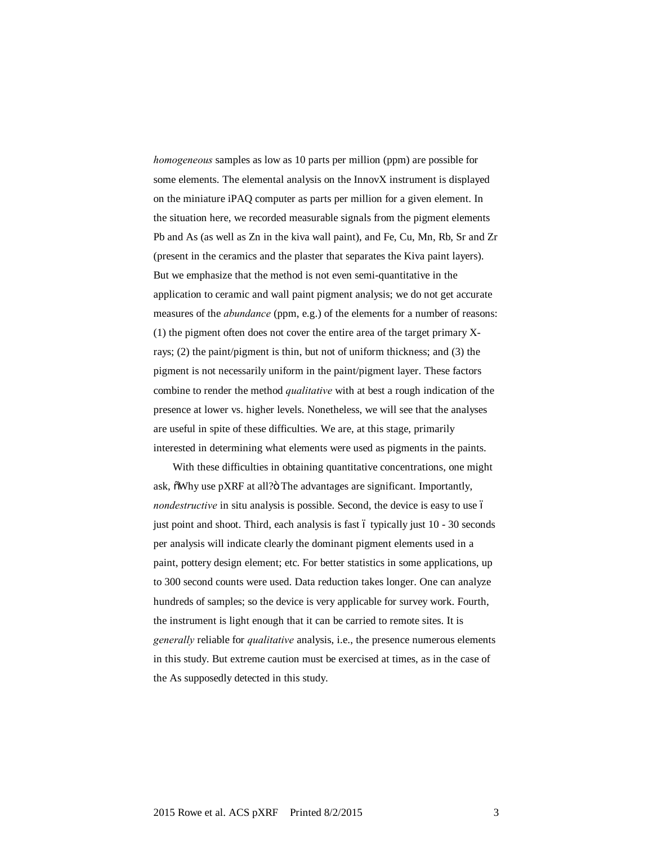*homogeneous* samples as low as 10 parts per million (ppm) are possible for some elements. The elemental analysis on the InnovX instrument is displayed on the miniature iPAQ computer as parts per million for a given element. In the situation here, we recorded measurable signals from the pigment elements Pb and As (as well as Zn in the kiva wall paint), and Fe, Cu, Mn, Rb, Sr and Zr (present in the ceramics and the plaster that separates the Kiva paint layers). But we emphasize that the method is not even semi-quantitative in the application to ceramic and wall paint pigment analysis; we do not get accurate measures of the *abundance* (ppm, e.g.) of the elements for a number of reasons: (1) the pigment often does not cover the entire area of the target primary Xrays; (2) the paint/pigment is thin, but not of uniform thickness; and (3) the pigment is not necessarily uniform in the paint/pigment layer. These factors combine to render the method *qualitative* with at best a rough indication of the presence at lower vs. higher levels. Nonetheless, we will see that the analyses are useful in spite of these difficulties. We are, at this stage, primarily interested in determining what elements were used as pigments in the paints.

With these difficulties in obtaining quantitative concentrations, one might ask,  $\delta$ Why use pXRF at all? $\delta$  The advantages are significant. Importantly, *nondestructive* in situ analysis is possible. Second, the device is easy to use 6 just point and shoot. Third, each analysis is fast 6 typically just 10 - 30 seconds per analysis will indicate clearly the dominant pigment elements used in a paint, pottery design element; etc. For better statistics in some applications, up to 300 second counts were used. Data reduction takes longer. One can analyze hundreds of samples; so the device is very applicable for survey work. Fourth, the instrument is light enough that it can be carried to remote sites. It is *generally* reliable for *qualitative* analysis, i.e., the presence numerous elements in this study. But extreme caution must be exercised at times, as in the case of the As supposedly detected in this study.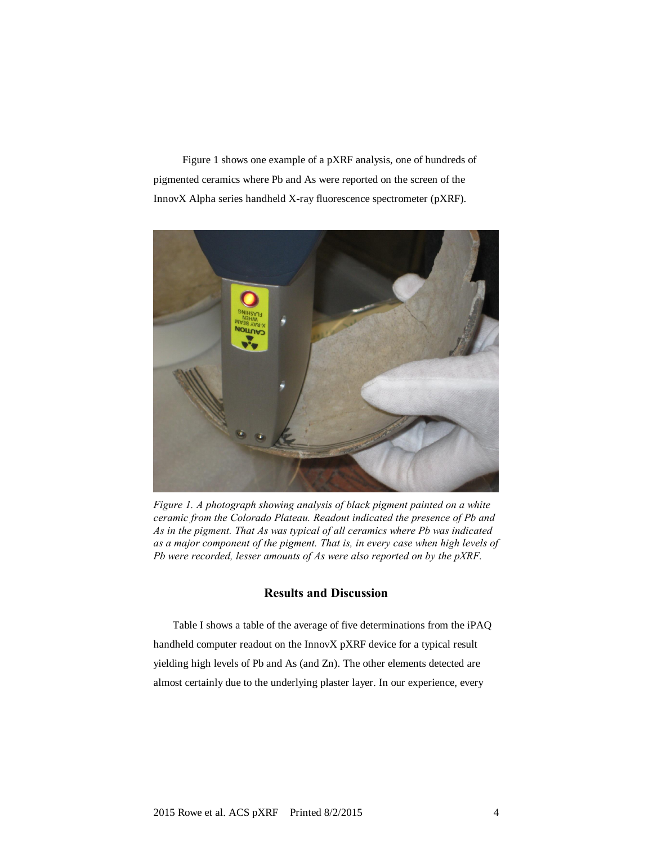Figure 1 shows one example of a pXRF analysis, one of hundreds of pigmented ceramics where Pb and As were reported on the screen of the InnovX Alpha series handheld X-ray fluorescence spectrometer (pXRF).



*Figure 1. A photograph showing analysis of black pigment painted on a white ceramic from the Colorado Plateau. Readout indicated the presence of Pb and As in the pigment. That As was typical of all ceramics where Pb was indicated as a major component of the pigment. That is, in every case when high levels of Pb were recorded, lesser amounts of As were also reported on by the pXRF.*

#### **Results and Discussion**

Table I shows a table of the average of five determinations from the iPAQ handheld computer readout on the InnovX pXRF device for a typical result yielding high levels of Pb and As (and Zn). The other elements detected are almost certainly due to the underlying plaster layer. In our experience, every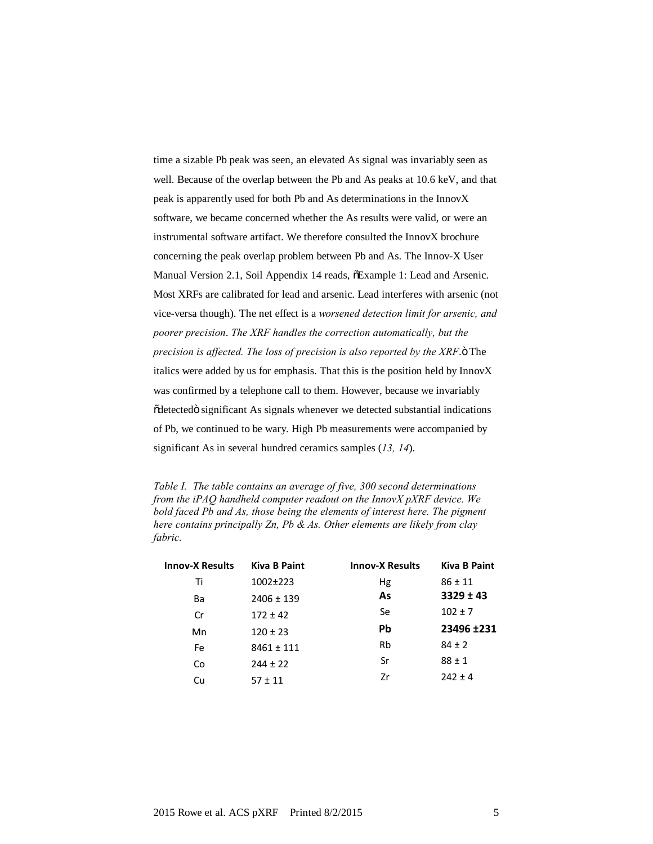time a sizable Pb peak was seen, an elevated As signal was invariably seen as well. Because of the overlap between the Pb and As peaks at 10.6 keV, and that peak is apparently used for both Pb and As determinations in the InnovX software, we became concerned whether the As results were valid, or were an instrumental software artifact. We therefore consulted the InnovX brochure concerning the peak overlap problem between Pb and As. The Innov-X User Manual Version 2.1, Soil Appendix 14 reads,  $\delta$ Example 1: Lead and Arsenic. Most XRFs are calibrated for lead and arsenic. Lead interferes with arsenic (not vice-versa though). The net effect is a *worsened detection limit for arsenic, and poorer precision*. *The XRF handles the correction automatically, but the precision is affected. The loss of precision is also reported by the XRF*. $\ddot{o}$  The italics were added by us for emphasis. That this is the position held by InnovX was confirmed by a telephone call to them. However, because we invariably  $\ddot{\text{o}}$ detected $\ddot{\text{o}}$  significant As signals whenever we detected substantial indications of Pb, we continued to be wary. High Pb measurements were accompanied by significant As in several hundred ceramics samples (*13, 14*).

*Table I. The table contains an average of five, 300 second determinations from the iPAQ handheld computer readout on the InnovX pXRF device. We bold faced Pb and As, those being the elements of interest here. The pigment here contains principally Zn, Pb & As. Other elements are likely from clay fabric.*

| Innov-X Results | Kiva B Paint   | <b>Innov-X Results</b> | Kiva B Paint  |
|-----------------|----------------|------------------------|---------------|
| Ti              | $1002+223$     | Hg                     | $86 \pm 11$   |
| Ba              | $2406 \pm 139$ | As                     | $3329 \pm 43$ |
| Cr              | $172 \pm 42$   | Se                     | $102 \pm 7$   |
| Mn              | $120 \pm 23$   | Pb                     | 23496 ±231    |
| Fe              | 8461 ± 111     | Rb                     | $84 \pm 2$    |
| Co              | $244 \pm 22$   | Sr                     | $88 \pm 1$    |
| Cu              | $57 + 11$      | Zr                     | $242 \pm 4$   |
|                 |                |                        |               |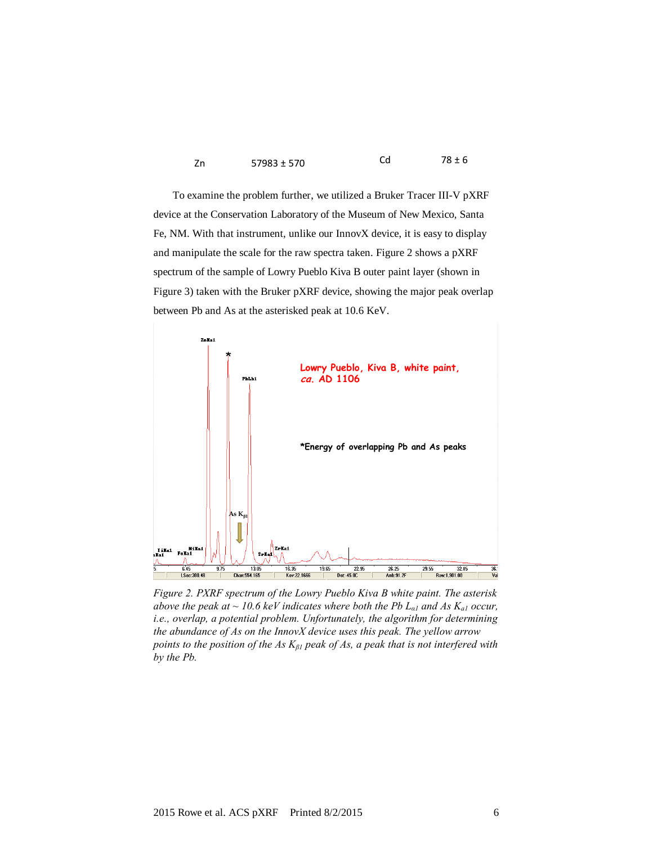| $57983 \pm 570$ | Cd | 78 ± 6 |
|-----------------|----|--------|
|                 |    |        |

To examine the problem further, we utilized a Bruker Tracer III-V pXRF device at the Conservation Laboratory of the Museum of New Mexico, Santa Fe, NM. With that instrument, unlike our InnovX device, it is easy to display and manipulate the scale for the raw spectra taken. Figure 2 shows a pXRF spectrum of the sample of Lowry Pueblo Kiva B outer paint layer (shown in Figure 3) taken with the Bruker pXRF device, showing the major peak overlap between Pb and As at the asterisked peak at 10.6 KeV.



*Figure 2. PXRF spectrum of the Lowry Pueblo Kiva B white paint. The asterisk above the peak at*  $\sim$  10.6 *keV indicates where both the Pb*  $L_{al}$  *and As*  $K_{al}$  *occur, i.e., overlap, a potential problem. Unfortunately, the algorithm for determining the abundance of As on the InnovX device uses this peak. The yellow arrow points to the position of the As Kβ<sup>1</sup> peak of As, a peak that is not interfered with by the Pb.*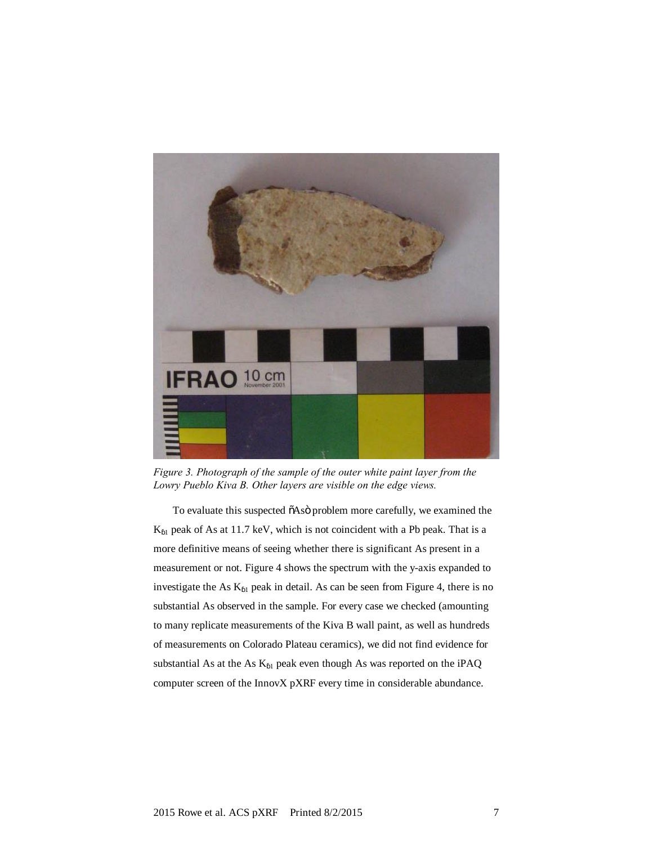

*Figure 3. Photograph of the sample of the outer white paint layer from the Lowry Pueblo Kiva B. Other layers are visible on the edge views.*

To evaluate this suspected  $\tilde{o}$ Asö problem more carefully, we examined the  $K_1$  peak of As at 11.7 keV, which is not coincident with a Pb peak. That is a more definitive means of seeing whether there is significant As present in a measurement or not. Figure 4 shows the spectrum with the y-axis expanded to investigate the As K  $_1$  peak in detail. As can be seen from Figure 4, there is no substantial As observed in the sample. For every case we checked (amounting to many replicate measurements of the Kiva B wall paint, as well as hundreds of measurements on Colorado Plateau ceramics), we did not find evidence for substantial As at the As K  $_1$  peak even though As was reported on the iPAQ computer screen of the InnovX pXRF every time in considerable abundance.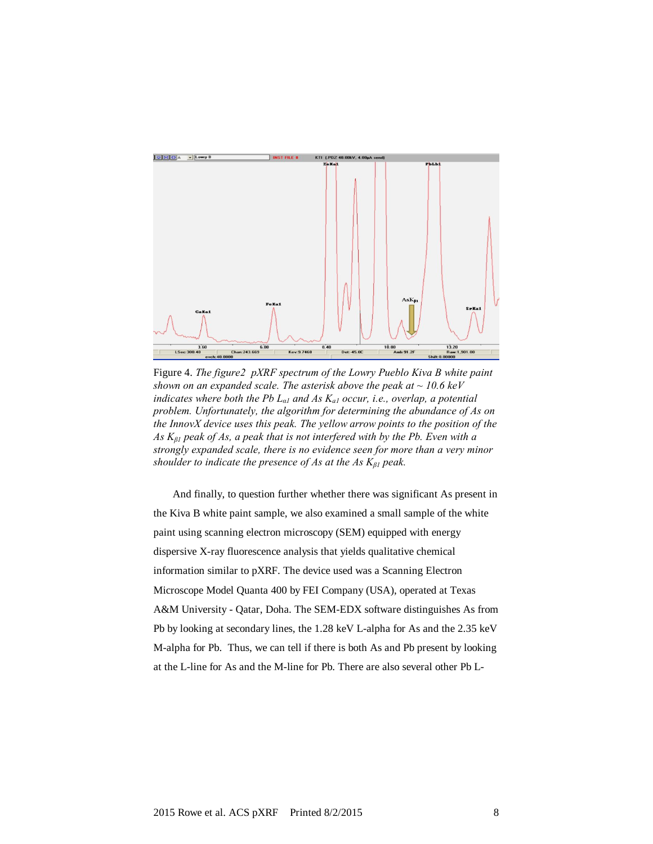

Figure 4. *The figure2 pXRF spectrum of the Lowry Pueblo Kiva B white paint shown on an expanded scale. The asterisk above the peak at ~ 10.6 keV indicates where both the Pb Lα<sup>1</sup> and As Ka1 occur, i.e., overlap, a potential problem. Unfortunately, the algorithm for determining the abundance of As on the InnovX device uses this peak. The yellow arrow points to the position of the As Kβ<sup>1</sup> peak of As, a peak that is not interfered with by the Pb. Even with a strongly expanded scale, there is no evidence seen for more than a very minor shoulder to indicate the presence of As at the As Kβ<sup>1</sup> peak.*

And finally, to question further whether there was significant As present in the Kiva B white paint sample, we also examined a small sample of the white paint using scanning electron microscopy (SEM) equipped with energy dispersive X-ray fluorescence analysis that yields qualitative chemical information similar to pXRF. The device used was a Scanning Electron Microscope Model Quanta 400 by FEI Company (USA), operated at Texas A&M University - Qatar, Doha. The SEM-EDX software distinguishes As from Pb by looking at secondary lines, the 1.28 keV L-alpha for As and the 2.35 keV M-alpha for Pb. Thus, we can tell if there is both As and Pb present by looking at the L-line for As and the M-line for Pb. There are also several other Pb L-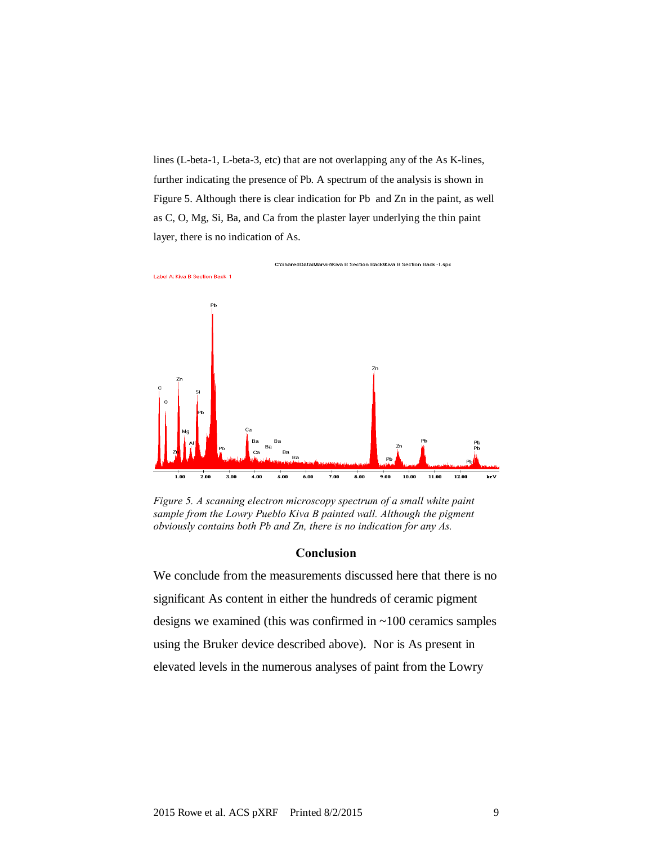lines (L-beta-1, L-beta-3, etc) that are not overlapping any of the As K-lines, further indicating the presence of Pb. A spectrum of the analysis is shown in Figure 5. Although there is clear indication for Pb and Zn in the paint, as well as C, O, Mg, Si, Ba, and Ca from the plaster layer underlying the thin paint layer, there is no indication of As.



*Figure 5. A scanning electron microscopy spectrum of a small white paint sample from the Lowry Pueblo Kiva B painted wall. Although the pigment obviously contains both Pb and Zn, there is no indication for any As.* 

## **Conclusion**

We conclude from the measurements discussed here that there is no significant As content in either the hundreds of ceramic pigment designs we examined (this was confirmed in ~100 ceramics samples using the Bruker device described above). Nor is As present in elevated levels in the numerous analyses of paint from the Lowry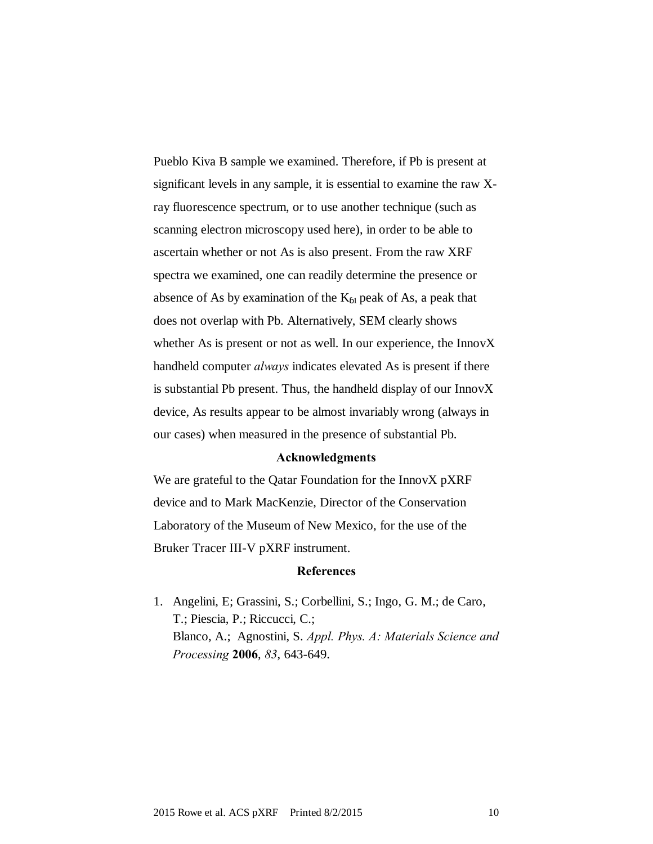Pueblo Kiva B sample we examined. Therefore, if Pb is present at significant levels in any sample, it is essential to examine the raw Xray fluorescence spectrum, or to use another technique (such as scanning electron microscopy used here), in order to be able to ascertain whether or not As is also present. From the raw XRF spectra we examined, one can readily determine the presence or absence of As by examination of the K  $_1$  peak of As, a peak that does not overlap with Pb. Alternatively, SEM clearly shows whether As is present or not as well. In our experience, the InnovX handheld computer *always* indicates elevated As is present if there is substantial Pb present. Thus, the handheld display of our InnovX device, As results appear to be almost invariably wrong (always in our cases) when measured in the presence of substantial Pb.

#### **Acknowledgments**

We are grateful to the Qatar Foundation for the InnovX pXRF device and to Mark MacKenzie, Director of the Conservation Laboratory of the Museum of New Mexico, for the use of the Bruker Tracer III-V pXRF instrument.

### **References**

1. Angelini, E; Grassini, S.; Corbellini, S.; Ingo, G. M.; de Caro, T.; Piescia, P.; Riccucci, C.; Blanco, A.; Agnostini, S. *Appl. Phys. A: Materials Science and Processing* **2006**, *83*, 643-649.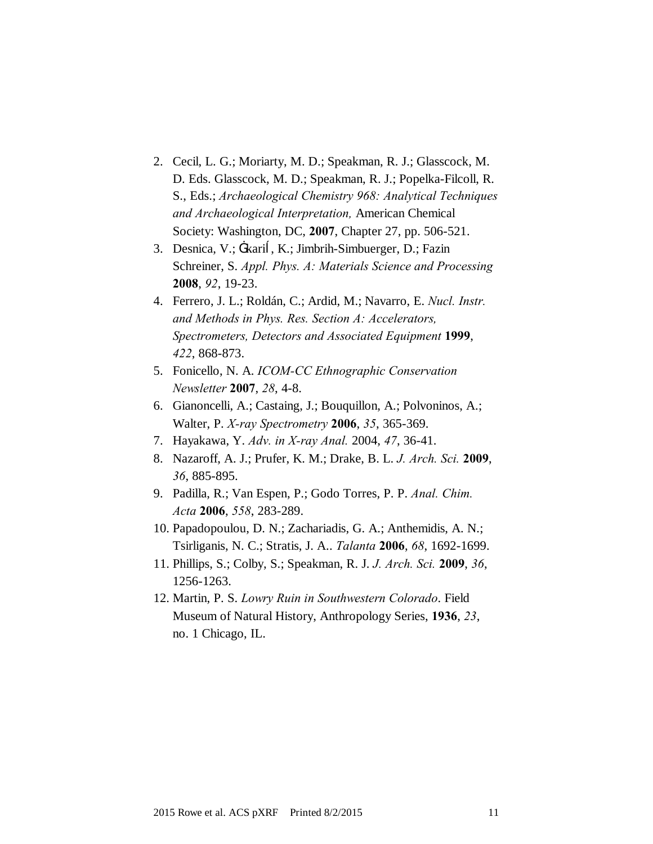- 2. Cecil, L. G.; Moriarty, M. D.; Speakman, R. J.; Glasscock, M. D. Eds. Glasscock, M. D.; Speakman, R. J.; Popelka-Filcoll, R. S., Eds.; *Archaeological Chemistry 968: Analytical Techniques and Archaeological Interpretation,* American Chemical Society: Washington, DC, **2007**, Chapter 27, pp. 506-521.
- 3. Desnica, V.; T\\tari, K.; Jimbrih-Simbuerger, D.; Fazin Schreiner, S. *Appl. Phys. A: Materials Science and Processing* **2008**, *92*, 19-23.
- 4. Ferrero, J. L.; Roldán, C.; Ardid, M.; Navarro, E. *Nucl. Instr. and Methods in Phys. Res. Section A: Accelerators, Spectrometers, Detectors and Associated Equipment* **1999**, *422*, 868-873.
- 5. Fonicello, N. A. *ICOM-CC Ethnographic Conservation Newsletter* **2007**, *28*, 4-8.
- 6. Gianoncelli, A.; Castaing, J.; Bouquillon, A.; Polvoninos, A.; Walter, P. *X-ray Spectrometry* **2006**, *35*, 365-369.
- 7. Hayakawa, Y. *Adv. in X-ray Anal.* 2004, *47*, 36-41.
- 8. Nazaroff, A. J.; Prufer, K. M.; Drake, B. L. *J. Arch. Sci.* **2009**, *36*, 885-895.
- 9. Padilla, R.; Van Espen, P.; Godo Torres, P. P. *Anal. Chim. Acta* **2006**, *558*, 283-289.
- 10. Papadopoulou, D. N.; Zachariadis, G. A.; Anthemidis, A. N.; Tsirliganis, N. C.; Stratis, J. A.. *Talanta* **2006**, *68*, 1692-1699.
- 11. Phillips, S.; Colby, S.; Speakman, R. J. *J. Arch. Sci.* **2009**, *36*, 1256-1263.
- 12. Martin, P. S. *Lowry Ruin in Southwestern Colorado*. Field Museum of Natural History, Anthropology Series, **1936**, *23*, no. 1 Chicago, IL.